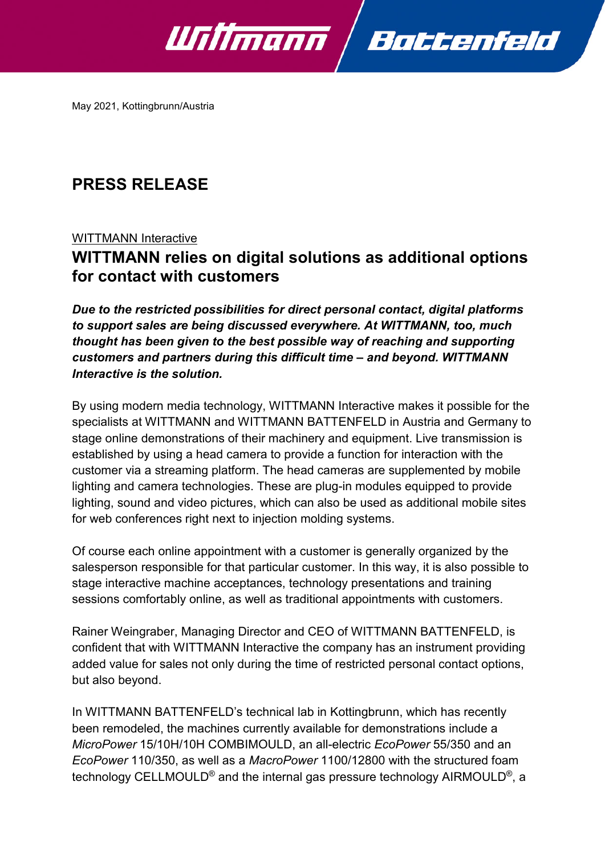

May 2021, Kottingbrunn/Austria

# **PRESS RELEASE**

### WITTMANN Interactive

## **WITTMANN relies on digital solutions as additional options for contact with customers**

*Due to the restricted possibilities for direct personal contact, digital platforms to support sales are being discussed everywhere. At WITTMANN, too, much thought has been given to the best possible way of reaching and supporting customers and partners during this difficult time – and beyond. WITTMANN Interactive is the solution.*

By using modern media technology, WITTMANN Interactive makes it possible for the specialists at WITTMANN and WITTMANN BATTENFELD in Austria and Germany to stage online demonstrations of their machinery and equipment. Live transmission is established by using a head camera to provide a function for interaction with the customer via a streaming platform. The head cameras are supplemented by mobile lighting and camera technologies. These are plug-in modules equipped to provide lighting, sound and video pictures, which can also be used as additional mobile sites for web conferences right next to injection molding systems.

Of course each online appointment with a customer is generally organized by the salesperson responsible for that particular customer. In this way, it is also possible to stage interactive machine acceptances, technology presentations and training sessions comfortably online, as well as traditional appointments with customers.

Rainer Weingraber, Managing Director and CEO of WITTMANN BATTENFELD, is confident that with WITTMANN Interactive the company has an instrument providing added value for sales not only during the time of restricted personal contact options, but also beyond.

In WITTMANN BATTENFELD's technical lab in Kottingbrunn, which has recently been remodeled, the machines currently available for demonstrations include a *MicroPower* 15/10H/10H COMBIMOULD, an all-electric *EcoPower* 55/350 and an *EcoPower* 110/350, as well as a *MacroPower* 1100/12800 with the structured foam technology CELLMOULD® and the internal gas pressure technology AIRMOULD®, a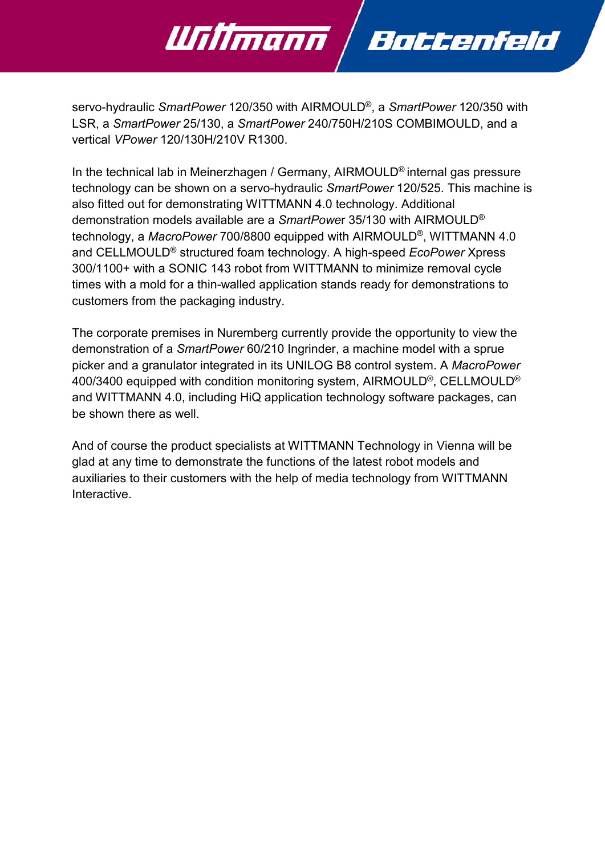

servo-hydraulic *SmartPower* 120/350 with AIRMOULD®, a *SmartPower* 120/350 with LSR, a *SmartPower* 25/130, a *SmartPower* 240/750H/210S COMBIMOULD, and a vertical *VPower* 120/130H/210V R1300.

In the technical lab in Meinerzhagen / Germany, AIRMOULD® internal gas pressure technology can be shown on a servo-hydraulic *SmartPower* 120/525. This machine is also fitted out for demonstrating WITTMANN 4.0 technology. Additional demonstration models available are a *SmartPowe*r 35/130 with AIRMOULD® technology, a *MacroPower* 700/8800 equipped with AIRMOULD®, WITTMANN 4.0 and CELLMOULD® structured foam technology. A high-speed *EcoPower* Xpress 300/1100+ with a SONIC 143 robot from WITTMANN to minimize removal cycle times with a mold for a thin-walled application stands ready for demonstrations to customers from the packaging industry.

The corporate premises in Nuremberg currently provide the opportunity to view the demonstration of a *SmartPower* 60/210 Ingrinder, a machine model with a sprue picker and a granulator integrated in its UNILOG B8 control system. A *MacroPower*  400/3400 equipped with condition monitoring system, AIRMOULD®, CELLMOULD® and WITTMANN 4.0, including HiQ application technology software packages, can be shown there as well.

And of course the product specialists at WITTMANN Technology in Vienna will be glad at any time to demonstrate the functions of the latest robot models and auxiliaries to their customers with the help of media technology from WITTMANN Interactive.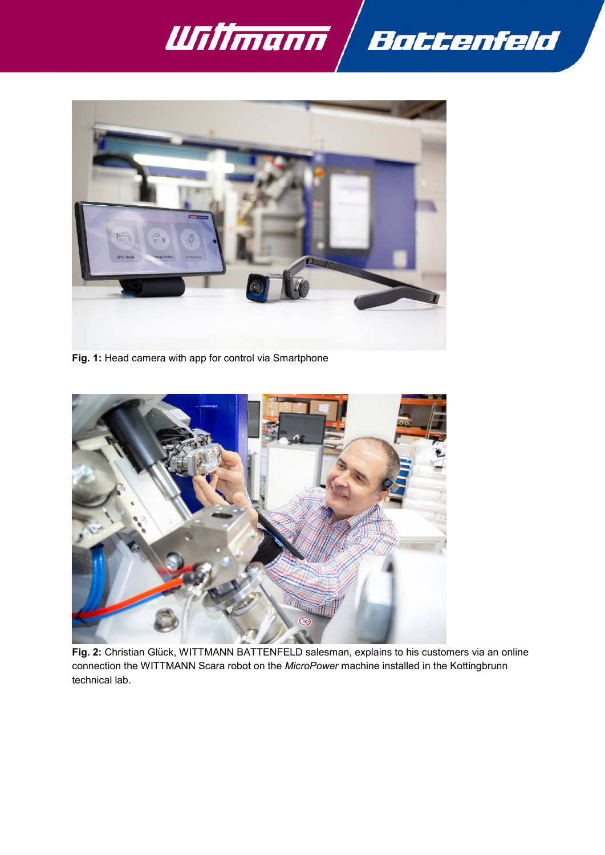



**Fig. 1:** Head camera with app for control via Smartphone



**Fig. 2:** Christian Glück, WITTMANN BATTENFELD salesman, explains to his customers via an online connection the WITTMANN Scara robot on the *MicroPower* machine installed in the Kottingbrunn technical lab.